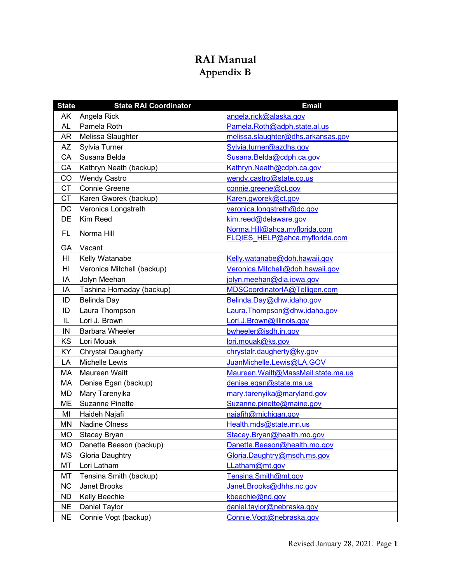## **RAI Manual Appendix B**

| <b>State</b> | <b>State RAI Coordinator</b> | <b>Email</b>                        |
|--------------|------------------------------|-------------------------------------|
| AK           | Angela Rick                  | angela.rick@alaska.gov              |
| AL           | Pamela Roth                  | Pamela.Roth@adph.state.al.us        |
| AR           | Melissa Slaughter            | melissa.slaughter@dhs.arkansas.gov  |
| <b>AZ</b>    | Sylvia Turner                | Sylvia.turner@azdhs.gov             |
| CA           | Susana Belda                 | Susana.Belda@cdph.ca.gov            |
| CA           | Kathryn Neath (backup)       | Kathryn.Neath@cdph.ca.gov           |
| CO           | <b>Wendy Castro</b>          | wendy.castro@state.co.us            |
| <b>CT</b>    | <b>Connie Greene</b>         | connie.greene@ct.gov                |
| <b>CT</b>    | Karen Gworek (backup)        | Karen.gworek@ct.gov                 |
| <b>DC</b>    | Veronica Longstreth          | veronica.longstreth@dc.gov          |
| DE           | Kim Reed                     | kim.reed@delaware.gov               |
| FL.          | Norma Hill                   | Norma.Hill@ahca.myflorida.com       |
|              |                              | FLQIES HELP@ahca.myflorida.com      |
| GA           | Vacant                       |                                     |
| HI           | Kelly Watanabe               | Kelly.watanabe@doh.hawaii.gov       |
| HI           | Veronica Mitchell (backup)   | Veronica.Mitchell@doh.hawaii.gov    |
| IA           | Jolyn Meehan                 | jolyn.meehan@dia.iowa.gov           |
| IA           | Tashina Hornaday (backup)    | MDSCoordinatorIA@Telligen.com       |
| ID           | <b>Belinda Day</b>           | Belinda.Day@dhw.idaho.gov           |
| ID           | Laura Thompson               | Laura.Thompson@dhw.idaho.gov        |
| IL           | Lori J. Brown                | Lori.J.Brown@illinois.gov           |
| IN           | <b>Barbara Wheeler</b>       | bwheeler@isdh.in.gov                |
| KS           | Lori Mouak                   | lori.mouak@ks.gov                   |
| KY           | Chrystal Daugherty           | chrystalr.daugherty@ky.gov          |
| LA           | Michelle Lewis               | JuanMichelle.Lewis@LA.GOV           |
| МA           | Maureen Waitt                | Maureen. Waitt@MassMail.state.ma.us |
| MA           | Denise Egan (backup)         | denise.egan@state.ma.us             |
| MD           | Mary Tarenyika               | mary.tarenyika@maryland.gov         |
| <b>ME</b>    | Suzanne Pinette              | Suzanne.pinette@maine.gov           |
| MI           | Haideh Najafi                | najafih@michigan.gov                |
| MN           | Nadine Olness                | Health.mds@state.mn.us              |
| MO           | Stacey Bryan                 | Stacey.Bryan@health.mo.gov          |
| MO           | Danette Beeson (backup)      | Danette.Beeson@health.mo.gov        |
| <b>MS</b>    | Gloria Daughtry              | Gloria.Daughtry@msdh.ms.gov         |
| MT           | Lori Latham                  | LLatham@mt.gov                      |
| MT           | Tensina Smith (backup)       | Tensina.Smith@mt.gov                |
| <b>NC</b>    | <b>Janet Brooks</b>          | Janet.Brooks@dhhs.nc.gov            |
| <b>ND</b>    | Kelly Beechie                | kbeechie@nd.gov                     |
| <b>NE</b>    | <b>Daniel Taylor</b>         | daniel.taylor@nebraska.gov          |
| <b>NE</b>    | Connie Vogt (backup)         | Connie. Vogt@nebraska.gov           |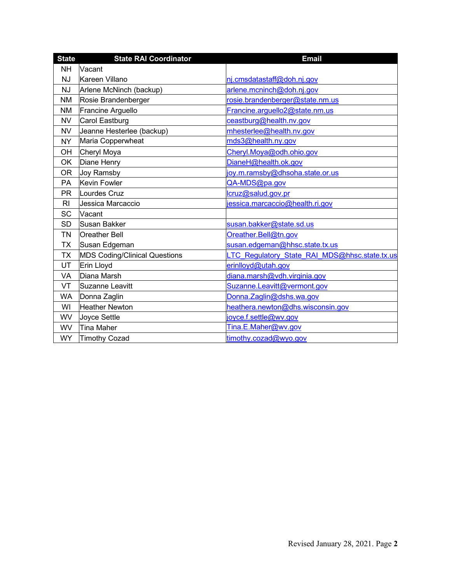| <b>State</b>   | <b>State RAI Coordinator</b>         | <b>Email</b>                                  |
|----------------|--------------------------------------|-----------------------------------------------|
| <b>NH</b>      | Vacant                               |                                               |
| <b>NJ</b>      | Kareen Villano                       | nj.cmsdatastaff@doh.nj.gov                    |
| <b>NJ</b>      | Arlene McNinch (backup)              | arlene.mcninch@doh.nj.gov                     |
| ΝM             | Rosie Brandenberger                  | rosie.brandenberger@state.nm.us               |
| <b>NM</b>      | Francine Arguello                    | Francine.arguello2@state.nm.us                |
| <b>NV</b>      | Carol Eastburg                       | ceastburg@health.nv.gov                       |
| <b>NV</b>      | Jeanne Hesterlee (backup)            | mhesterlee@health.nv.gov                      |
| <b>NY</b>      | Maria Copperwheat                    | mds3@health.ny.gov                            |
| OH             | Cheryl Moya                          | Cheryl.Moya@odh.ohio.gov                      |
| OK             | Diane Henry                          | DianeH@health.ok.gov                          |
| <b>OR</b>      | Joy Ramsby                           | joy.m.ramsby@dhsoha.state.or.us               |
| <b>PA</b>      | Kevin Fowler                         | QA-MDS@pa.gov                                 |
| <b>PR</b>      | Lourdes Cruz                         | lcruz@salud.gov.pr                            |
| R <sub>l</sub> | Jessica Marcaccio                    | jessica.marcaccio@health.ri.gov               |
| <b>SC</b>      | Vacant                               |                                               |
| <b>SD</b>      | Susan Bakker                         | susan.bakker@state.sd.us                      |
| <b>TN</b>      | <b>Oreather Bell</b>                 | Oreather.Bell@tn.gov                          |
| <b>TX</b>      | Susan Edgeman                        | susan.edgeman@hhsc.state.tx.us                |
| <b>TX</b>      | <b>MDS Coding/Clinical Questions</b> | LTC Regulatory State RAI MDS@hhsc.state.tx.us |
| UT             | Erin Lloyd                           | erinlloyd@utah.gov                            |
| VA             | Diana Marsh                          | diana.marsh@vdh.virginia.gov                  |
| VT             | Suzanne Leavitt                      | Suzanne.Leavitt@vermont.gov                   |
| <b>WA</b>      | Donna Zaglin                         | Donna.Zaglin@dshs.wa.gov                      |
| WI             | <b>Heather Newton</b>                | heathera.newton@dhs.wisconsin.gov             |
| WV             | Joyce Settle                         | joyce.f.settle@wv.gov                         |
| <b>WV</b>      | <b>Tina Maher</b>                    | Tina.E.Maher@wv.gov                           |
| <b>WY</b>      | Timothy Cozad                        | timothy.cozad@wyo.gov                         |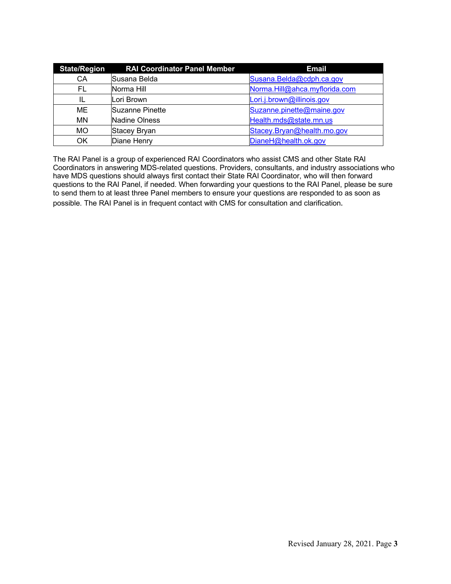| <b>State/Region</b> | <b>RAI Coordinator Panel Member</b> | <b>Email</b>                  |
|---------------------|-------------------------------------|-------------------------------|
| CA                  | Susana Belda                        | Susana.Belda@cdph.ca.gov      |
| FL                  | Norma Hill                          | Norma.Hill@ahca.myflorida.com |
| IL                  | Lori Brown                          | Lori.j.brown@illinois.gov     |
| ME                  | <b>Suzanne Pinette</b>              | Suzanne.pinette@maine.gov     |
| <b>MN</b>           | <b>Nadine Olness</b>                | Health.mds@state.mn.us        |
| <b>MO</b>           | <b>Stacey Bryan</b>                 | Stacey.Bryan@health.mo.gov    |
| OK                  | Diane Henry                         | DianeH@health.ok.gov          |

The RAI Panel is a group of experienced RAI Coordinators who assist CMS and other State RAI Coordinators in answering MDS-related questions. Providers, consultants, and industry associations who have MDS questions should always first contact their State RAI Coordinator, who will then forward questions to the RAI Panel, if needed. When forwarding your questions to the RAI Panel, please be sure to send them to at least three Panel members to ensure your questions are responded to as soon as possible. The RAI Panel is in frequent contact with CMS for consultation and clarification.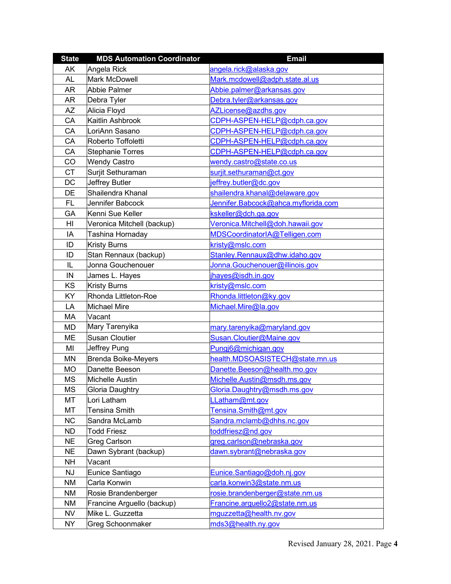| <b>State</b> | <b>MDS Automation Coordinator</b> | <b>Email</b>                        |  |
|--------------|-----------------------------------|-------------------------------------|--|
| AK           | Angela Rick                       | angela.rick@alaska.gov              |  |
| <b>AL</b>    | <b>Mark McDowell</b>              | Mark.mcdowell@adph.state.al.us      |  |
| <b>AR</b>    | <b>Abbie Palmer</b>               | Abbie.palmer@arkansas.gov           |  |
| AR           | Debra Tyler                       | Debra.tyler@arkansas.gov            |  |
| <b>AZ</b>    | Alicia Floyd                      | AZLicense@azdhs.gov                 |  |
| CA           | Kaitlin Ashbrook                  | CDPH-ASPEN-HELP@cdph.ca.gov         |  |
| CA           | LoriAnn Sasano                    | CDPH-ASPEN-HELP@cdph.ca.gov         |  |
| CA           | Roberto Toffoletti                | CDPH-ASPEN-HELP@cdph.ca.gov         |  |
| CA           | <b>Stephanie Torres</b>           | CDPH-ASPEN-HELP@cdph.ca.gov         |  |
| CO           | <b>Wendy Castro</b>               | wendy.castro@state.co.us            |  |
| <b>CT</b>    | Surjit Sethuraman                 | surjit.sethuraman@ct.gov            |  |
| DC           | Jeffrey Butler                    | jeffrey.butler@dc.gov               |  |
| DE           | Shailendra Khanal                 | shailendra.khanal@delaware.gov      |  |
| FL           | Jennifer Babcock                  | Jennifer.Babcock@ahca.myflorida.com |  |
| GA           | Kenni Sue Keller                  | kskeller@dch.ga.gov                 |  |
| HI           | Veronica Mitchell (backup)        | Veronica.Mitchell@doh.hawaii.gov    |  |
| IA           | Tashina Hornaday                  | MDSCoordinatorIA@Telligen.com       |  |
| ID           | <b>Kristy Burns</b>               | kristy@mslc.com                     |  |
| ID           | Stan Rennaux (backup)             | Stanley.Rennaux@dhw.idaho.gov       |  |
| IL           | Jonna Gouchenouer                 | Jonna.Gouchenouer@illinois.gov      |  |
| IN           | James L. Hayes                    | hayes@isdh.in.gov                   |  |
| KS           | <b>Kristy Burns</b>               | kristy@mslc.com                     |  |
| KY           | Rhonda Littleton-Roe              | Rhonda.littleton@ky.gov             |  |
| LA           | <b>Michael Mire</b>               | Michael.Mire@la.gov                 |  |
| МA           | Vacant                            |                                     |  |
| <b>MD</b>    | Mary Tarenyika                    | mary.tarenyika@maryland.gov         |  |
| ME           | <b>Susan Cloutier</b>             | Susan.Cloutier@Maine.gov            |  |
| MI           | Jeffrey Pung                      | Pungj6@michigan.gov                 |  |
| MN           | <b>Brenda Boike-Meyers</b>        | health.MDSOASISTECH@state.mn.us     |  |
| <b>MO</b>    | Danette Beeson                    | Danette.Beeson@health.mo.gov        |  |
| <b>MS</b>    | <b>Michelle Austin</b>            | Michelle.Austin@msdh.ms.gov         |  |
| MS           | <b>Gloria Daughtry</b>            | Gloria.Daughtry@msdh.ms.gov         |  |
| MT           | Lori Latham                       | LLatham@mt.gov                      |  |
| MT           | <b>Tensina Smith</b>              | Tensina.Smith@mt.gov                |  |
| <b>NC</b>    | Sandra McLamb                     | Sandra.mclamb@dhhs.nc.gov           |  |
| <b>ND</b>    | <b>Todd Friesz</b>                | toddfriesz@nd.gov                   |  |
| <b>NE</b>    | <b>Greg Carlson</b>               | greg.carlson@nebraska.gov           |  |
| <b>NE</b>    | Dawn Sybrant (backup)             | dawn.sybrant@nebraska.gov           |  |
| <b>NH</b>    | Vacant                            |                                     |  |
| <b>NJ</b>    | Eunice Santiago                   | Eunice.Santiago@doh.nj.gov          |  |
| NM           | Carla Konwin                      | carla.konwin3@state.nm.us           |  |
| NM           | Rosie Brandenberger               | rosie.brandenberger@state.nm.us     |  |
| NM           | Francine Arguello (backup)        | Francine.arguello2@state.nm.us      |  |
| <b>NV</b>    | Mike L. Guzzetta                  | mguzzetta@health.nv.gov             |  |
| <b>NY</b>    | Greg Schoonmaker                  | mds3@health.ny.gov                  |  |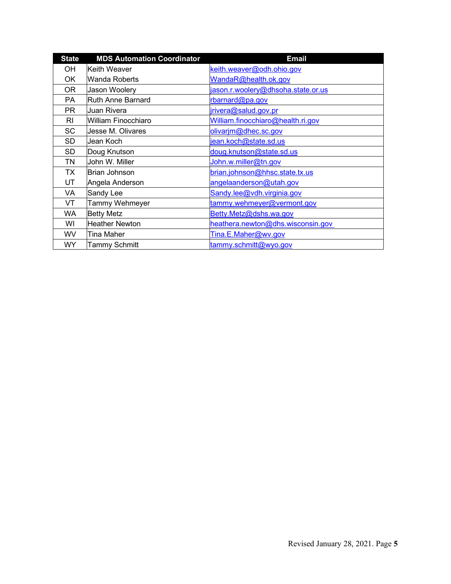| <b>State</b> | <b>MDS Automation Coordinator</b> | <b>Email</b>                       |
|--------------|-----------------------------------|------------------------------------|
| OН           | Keith Weaver                      | keith.weaver@odh.ohio.gov          |
| ОK           | Wanda Roberts                     | WandaR@health.ok.gov               |
| 0R           | Jason Woolery                     | jason.r.woolery@dhsoha.state.or.us |
| PA           | <b>Ruth Anne Barnard</b>          | rbarnard@pa.gov                    |
| PR.          | Juan Rivera                       | jrivera@salud.gov.pr               |
| RI           | William Finocchiaro               | William.finocchiaro@health.ri.gov  |
| SC           | Jesse M. Olivares                 | olivarjm@dhec.sc.gov               |
| SD           | Jean Koch                         | jean.koch@state.sd.us              |
| SD           | Doug Knutson                      | doug.knutson@state.sd.us           |
| TN           | John W. Miller                    | John.w.miller@tn.gov               |
| TX           | <b>Brian Johnson</b>              | brian.johnson@hhsc.state.tx.us     |
| UT           | Angela Anderson                   | angelaanderson@utah.gov            |
| VA           | Sandy Lee                         | Sandy.lee@vdh.virginia.gov         |
| VT           | <b>Tammy Wehmeyer</b>             | tammy.wehmeyer@vermont.gov         |
| WA           | <b>Betty Metz</b>                 | Betty.Metz@dshs.wa.gov             |
| WI           | <b>Heather Newton</b>             | heathera.newton@dhs.wisconsin.gov  |
| WV           | <b>Tina Maher</b>                 | Tina.E.Maher@wv.gov                |
| <b>WY</b>    | <b>Tammy Schmitt</b>              | tammy.schmitt@wyo.gov              |